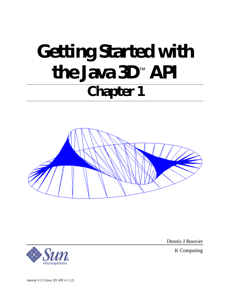# **Getting Started with the Java 3D**™  **API Chapter 1**





Dennis J Bouvier

K Computing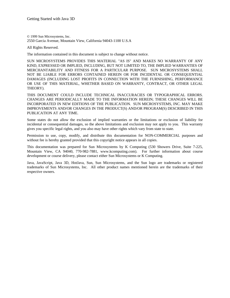© 1999 Sun Microsystems, Inc. 2550 Garcia Avenue, Mountain View, California 94043-1100 U.S.A

All Rights Reserved.

The information contained in this document is subject to change without notice.

SUN MICROSYSTEMS PROVIDES THIS MATERIAL "AS IS" AND MAKES NO WARRANTY OF ANY KIND, EXPRESSED OR IMPLIED, INCLUDING, BUT NOT LIMITED TO, THE IMPLIED WARRANTIES OF MERCHANTABILITY AND FITNESS FOR A PARTICULAR PURPOSE. SUN MICROSYSTEMS SHALL NOT BE LIABLE FOR ERRORS CONTAINED HEREIN OR FOR INCIDENTAL OR CONSEQUENTIAL DAMAGES (INCLUDING LOST PROFITS IN CONNECTION WITH THE FURNISHING, PERFORMANCE OR USE OF THIS MATERIAL, WHETHER BASED ON WARRANTY, CONTRACT, OR OTHER LEGAL THEORY).

THIS DOCUMENT COULD INCLUDE TECHNICAL INACCURACIES OR TYPOGRAPHICAL ERRORS. CHANGES ARE PERIODICALLY MADE TO THE INFORMATION HEREIN; THESE CHANGES WILL BE INCORPORATED IN NEW EDITIONS OF THE PUBLICATION. SUN MICROSYSTEMS, INC. MAY MAKE IMPROVEMENTS AND/OR CHANGES IN THE PRODUCT(S) AND/OR PROGRAM(S) DESCRIBED IN THIS PUBLICATION AT ANY TIME.

Some states do not allow the exclusion of implied warranties or the limitations or exclusion of liability for incidental or consequential damages, so the above limitations and exclusion may not apply to you. This warranty gives you specific legal rights, and you also may have other rights which vary from state to state.

Permission to use, copy, modify, and distribute this documentation for NON-COMMERCIAL purposes and without fee is hereby granted provided that this copyright notice appears in all copies.

This documentation was prepared for Sun Microsystems by K Computing (530 Showers Drive, Suite 7-225, Mountain View, CA 94040, 770-982-7881, www.kcomputing.com). For further information about course development or course delivery, please contact either Sun Microsystems or K Computing.

Java, JavaScript, Java 3D, HotJava, Sun, Sun Microsystems, and the Sun logo are trademarks or registered trademarks of Sun Microsystems, Inc. All other product names mentioned herein are the trademarks of their respective owners.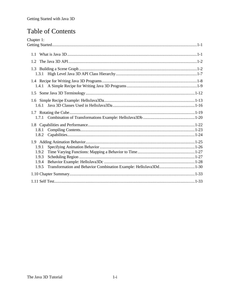# Table of Contents

| Chapter 1:                                                                 |
|----------------------------------------------------------------------------|
|                                                                            |
|                                                                            |
| 1.1                                                                        |
| 12                                                                         |
| 1.3.1                                                                      |
|                                                                            |
| $1.5^{\circ}$                                                              |
|                                                                            |
| 1.6.1                                                                      |
|                                                                            |
|                                                                            |
|                                                                            |
| 1.8.1                                                                      |
| 1.8.2                                                                      |
|                                                                            |
| 1.9.1                                                                      |
| 1.9.2                                                                      |
| 1.9.3                                                                      |
| 1.9.4                                                                      |
| Transformation and Behavior Combination Example: HelloJava3Dd1-30<br>1.9.5 |
|                                                                            |
|                                                                            |
|                                                                            |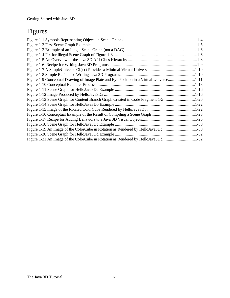# Figures

| Figure 1-9 Conceptual Drawing of Image Plate and Eye Position in a Virtual Universe1-11 |  |
|-----------------------------------------------------------------------------------------|--|
|                                                                                         |  |
|                                                                                         |  |
|                                                                                         |  |
| Figure 1-13 Scene Graph for Content Branch Graph Created in Code Fragment 1-51-20       |  |
|                                                                                         |  |
|                                                                                         |  |
|                                                                                         |  |
|                                                                                         |  |
|                                                                                         |  |
| Figure 1-19 An Image of the ColorCube in Rotation as Rendered by HelloJava3Dc1-30       |  |
|                                                                                         |  |
| Figure 1-21 An Image of the ColorCube in Rotation as Rendered by HelloJava3Dd1-32       |  |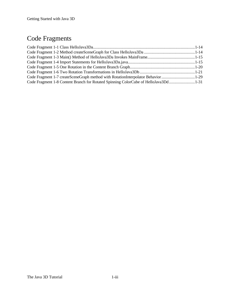# Code Fragments

| Code Fragment 1-7 createSceneGraph method with RotationInterpolator Behavior1-29    |  |
|-------------------------------------------------------------------------------------|--|
| Code Fragment 1-8 Content Branch for Rotated Spinning ColorCube of HelloJava3Dd1-31 |  |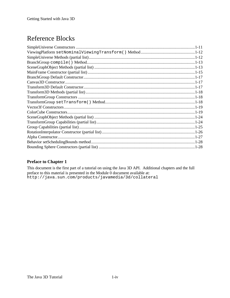# Reference Blocks

### **Preface to Chapter 1**

This document is the first part of a tutorial on using the Java 3D API. Additional chapters and the full preface to this material is presented in the Module 0 document available at: http://java.sun.com/products/javamedia/3d/collateral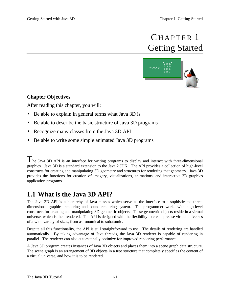# CHAPTER 1 Getting Started



# <span id="page-6-0"></span>**Chapter Objectives**

After reading this chapter, you will:

- Be able to explain in general terms what Java 3D is
- <span id="page-6-1"></span>• Be able to describe the basic structure of Java 3D programs
- Recognize many classes from the Java 3D API
- Be able to write some simple animated Java 3D programs

 $T$ he Java 3D API is an interface for writing programs to display and interact with three-dimensional graphics. Java 3D is a standard extension to the Java 2 JDK. The API provides a collection of high-level constructs for creating and manipulating 3D geometry and structures for rendering that geometry. Java 3D provides the functions for creation of imagery, visualizations, animations, and interactive 3D graphics application programs.

# **1.1 What is the Java 3D API?**

The Java 3D API is a hierarchy of Java classes which serve as the interface to a sophisticated threedimensional graphics rendering and sound rendering system. The programmer works with high-level constructs for creating and manipulating 3D geometric objects. These geometric objects reside in a virtual universe, which is then rendered. The API is designed with the flexibility to create precise virtual universes of a wide variety of sizes, from astronomical to subatomic.

Despite all this functionality, the API is still straightforward to use. The details of rendering are handled automatically. By taking advantage of Java threads, the Java 3D renderer is capable of rendering in parallel. The renderer can also automatically optimize for improved rendering performance.

A Java 3D program creates instances of Java 3D objects and places them into a scene graph data structure. The scene graph is an arrangement of 3D objects in a tree structure that completely specifies the content of a virtual universe, and how it is to be rendered.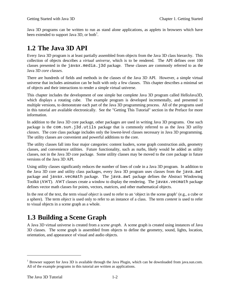<span id="page-7-0"></span>Java 3D programs can be written to run as stand alone applications, as applets in browsers which have been extended to support Java 3D, or both<sup>1</sup>.

# **1.2 The Java 3D API**

Every Java 3D program is at least partially assembled from objects from the Java 3D class hierarchy. This collection of objects describes a *virtual universe*, which is to be rendered. The API defines over 100 classes presented in the javax.media.j3d package. These classes are commonly referred to as the Java 3D *core classes*.

There are hundreds of fields and methods in the classes of the Java 3D API. However, a simple virtual universe that includes animation can be built with only a few classes. This chapter describes a minimal set of objects and their interactions to render a simple virtual universe.

This chapter includes the development of one simple but complete Java 3D program called HelloJava3D, which displays a rotating cube. The example program is developed incrementally, and presented in multiple versions, to demonstrate each part of the Java 3D programming process. All of the programs used in this tutorial are available electronically. See the "Getting This Tutorial" section in the Preface for more information.

<span id="page-7-1"></span>In addition to the Java 3D core package, other packages are used in writing Java 3D programs. One such package is the com.sun.j3d.utils package that is commonly referred to as the Java 3D *utility classes*. The core class package includes only the lowest-level classes necessary in Java 3D programming. The utility classes are convenient and powerful additions to the core.

The utility classes fall into four major categories: content loaders, scene graph construction aids, geometry classes, and convenience utilities. Future functionality, such as nurbs, likely would be added as utility classes, not in the Java 3D core package. Some utility classes may be moved to the core package in future versions of the Java 3D API.

Using utility classes significantly reduces the number of lines of code in a Java 3D program. In addition to the Java 3D core and utility class packages, every Java 3D program uses classes from the java.awt package and javax.vecmath package. The java.awt package defines the Abstract Windowing Toolkit (AWT). AWT classes create a window to display the rendering. The javax.vecmath package defines vector math classes for points, vectors, matrices, and other mathematical objects.

In the rest of the text, the term *visual object* is used to refer to an 'object in the scene graph' (e.g., a cube or a sphere). The term *object* is used only to refer to an instance of a class. The term *content* is used to refer to visual objects in a scene graph as a whole.

# **1.3 Building a Scene Graph**

A Java 3D virtual universe is created from a *scene graph*. A scene graph is created using instances of Java 3D classes. The scene graph is assembled from objects to define the geometry, sound, lights, location, orientation, and appearance of visual and audio objects.

 $\overline{a}$ 

<sup>&</sup>lt;sup>1</sup> Browser support for Java 3D is available through the Java Plugin, which can be downloaded from java.sun.com. All of the example programs in this tutorial are written as applications.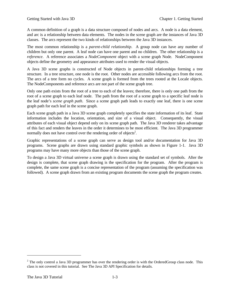A common definition of a graph is a data structure composed of nodes and arcs. A node is a data element, and arc is a relationship between data elements. The nodes in the scene graph are the instances of Java 3D classes. The arcs represent the two kinds of relationships between the Java 3D instances.

The most common relationship is a *parent-child relationship*. A group node can have any number of children but only one parent. A leaf node can have one parent and no children. The other relationship is a *reference*. A reference associates a *NodeComponent* object with a scene graph Node. NodeComponent objects define the geometry and appearance attributes used to render the visual objects.

A Java 3D scene graphs is constructed of Node objects in parent-child relationships forming a tree structure. In a tree structure, one node is the root. Other nodes are accessible following arcs from the root. The arcs of a tree form no cycles. A scene graph is formed from the trees rooted at the Locale objects. The NodeComponents and reference arcs are not part of the scene graph tree.

Only one path exists from the root of a tree to each of the leaves; therefore, there is only one path from the root of a scene graph to each leaf node. The path from the root of a scene graph to a specific leaf node is the leaf node's *scene graph path*. Since a scene graph path leads to exactly one leaf, there is one scene graph path for each leaf in the scene graph.

Each scene graph path in a Java 3D scene graph completely specifies the state information of its leaf. State information includes the location, orientation, and size of a visual object. Consequently, the visual attributes of each visual object depend only on its scene graph path. The Java 3D renderer takes advantage of this fact and renders the leaves in the order it determines to be most efficient. The Java 3D programmer normally does not have control over the rendering order of objects<sup>2</sup>.

Graphic representations of a scene graph can serve as design tool and/or documentation for Java 3D programs. Scene graphs are drawn using standard graphic symbols as shown in Figure 1-1. Java 3D programs may have many more objects than those of the scene graph.

To design a Java 3D virtual universe a scene graph is drawn using the standard set of symbols. After the design is complete, that scene graph drawing is the specification for the program. After the program is complete, the same scene graph is a concise representation of the program (assuming the specification was followed). A scene graph drawn from an existing program documents the scene graph the program creates.

<u>.</u>

 $2^2$  The only control a Java 3D programmer has over the rendering order is with the OrderedGroup class node. This class is not covered in this tutorial. See The Java 3D API Specification for details.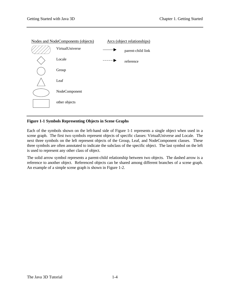

### **Figure 1-1 Symbols Representing Objects in Scene Graphs**

Each of the symbols shown on the left-hand side of Figure 1-1 represents a single object when used in a scene graph. The first two symbols represent objects of specific classes: VirtualUniverse and Locale. The next three symbols on the left represent objects of the Group, Leaf, and NodeComponent classes. These three symbols are often annotated to indicate the subclass of the specific object. The last symbol on the left is used to represent any other class of object.

The solid arrow symbol represents a parent-child relationship between two objects. The dashed arrow is a reference to another object. Referenced objects can be shared among different branches of a scene graph. An example of a simple scene graph is shown in Figure 1-2.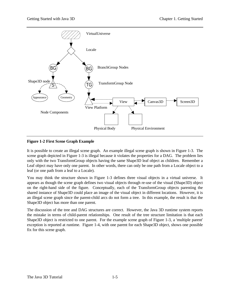

#### **Figure 1-2 First Scene Graph Example**

It is possible to create an illegal scene graph. An example illegal scene graph is shown in Figure 1-3. The scene graph depicted in Figure 1-3 is illegal because it violates the properties for a DAG. The problem lies only with the two TransformGroup objects having the same Shape3D leaf object as children. Remember a Leaf object may have only one parent. In other words, there can only be one path from a Locale object to a leaf (or one path from a leaf to a Locale).

You may think the structure shown in Figure 1-3 defines three visual objects in a virtual universe. It appears as though the scene graph defines two visual objects through re-use of the visual (Shape3D) object on the right-hand side of the figure. Conceptually, each of the TransformGroup objects parenting the shared instance of Shape3D could place an image of the visual object in different locations. However, it is an illegal scene graph since the parent-child arcs do not form a tree. In this example, the result is that the Shape3D object has more than one parent.

The discussion of the tree and DAG structures are correct. However, the Java 3D runtime system reports the mistake in terms of child-parent relationships. One result of the tree structure limitation is that each Shape3D object is restricted to one parent. For the example scene graph of Figure 1-3, a 'multiple parent' exception is reported at runtime. Figure 1-4, with one parent for each Shape3D object, shows one possible fix for this scene graph.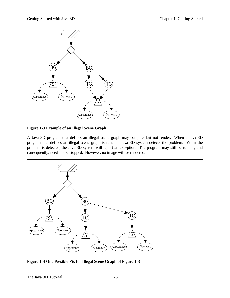

**Figure 1-3 Example of an Illegal Scene Graph**

A Java 3D program that defines an illegal scene graph may compile, but not render. When a Java 3D program that defines an illegal scene graph is run, the Java 3D system detects the problem. When the problem is detected, the Java 3D system will report an exception. The program may still be running and consequently, needs to be stopped. However, no image will be rendered.



**Figure 1-4 One Possible Fix for Illegal Scene Graph of Figure 1-3**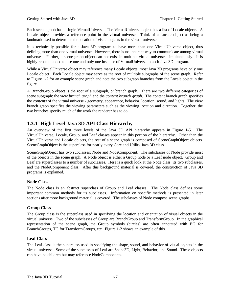Each scene graph has a single VirtualUniverse. The VirtualUniverse object has a list of Locale objects. A Locale object provides a reference point in the virtual universe. Think of a Locale object as being a landmark used to determine the location of visual objects in the virtual universe.

It is technically possible for a Java 3D program to have more than one VirtualUniverse object, thus defining more than one virtual universe. However, there is no inherent way to communicate among virtual universes. Further, a scene graph object can not exist in multiple virtual universes simultaneously. It is highly recommended to use one and only one instance of VirtualUniverse in each Java 3D program.

While a VirtualUniverse object may reference many Locale objects, most Java 3D programs have only one Locale object. Each Locale object may serve as the root of multiple subgraphs of the scene graph. Refer to Figure 1-2 for an example scene graph and note the two subgraph branches from the Locale object in the figure.

A BranchGroup object is the root of a subgraph, or branch graph. There are two different categories of scene subgraph: the *view branch graph* and the *content branch graph*. The content branch graph specifies the *contents* of the virtual universe - geometry, appearance, behavior, location, sound, and lights. The view branch graph specifies the viewing parameters such as the viewing location and direction. Together, the two branches specify much of the work the renderer has to do.

# <span id="page-12-0"></span>**1.3.1 High Level Java 3D API Class Hierarchy**

An overview of the first three levels of the Java 3D API hierarchy appears in Figure 1-5. The VirtualUniverse, Locale, Group, and Leaf classes appear in this portion of the hierarchy. Other than the VirtualUniverse and Locale objects, the rest of a scene graph is composed of SceneGraphObject objects. SceneGraphObject is the superclass for nearly every Core and Utility Java 3D class.

SceneGraphObject has two subclasses: Node and NodeComponent. The subclasses of Node provide most of the objects in the scene graph. A Node object is either a Group node or a Leaf node object. Group and Leaf are superclasses to a number of subclasses. Here is a quick look at the Node class, its two subclasses, and the NodeComponent class. After this background material is covered, the construction of Java 3D programs is explained.

### **Node Class**

The Node class is an abstract superclass of Group and Leaf classes. The Node class defines some important common methods for its subclasses. Information on specific methods is presented in later sections after more background material is covered. The subclasses of Node compose scene graphs.

### **Group Class**

The Group class is the superclass used in specifying the location and orientation of visual objects in the virtual universe. Two of the subclasses of Group are BranchGroup and TransformGroup. In the graphical representation of the scene graph, the Group symbols (circles) are often annotated with BG for BranchGroups, TG for TransformGroups, etc. Figure 1-2 shows an example of this.

### **Leaf Class**

The Leaf class is the superclass used in specifying the shape, sound, and behavior of visual objects in the virtual universe. Some of the subclasses of Leaf are Shape3D, Light, Behavior, and Sound. These objects can have no children but may reference NodeComponents.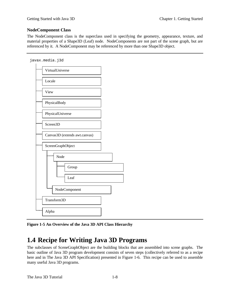### **NodeComponent Class**

The NodeComponent class is the superclass used in specifying the geometry, appearance, texture, and material properties of a Shape3D (Leaf) node. NodeComponents are not part of the scene graph, but are referenced by it. A NodeComponent may be referenced by more than one Shape3D object.



<span id="page-13-0"></span>

**Figure 1-5 An Overview of the Java 3D API Class Hierarchy**

# **1.4 Recipe for Writing Java 3D Programs**

The subclasses of SceneGraphObject are the building blocks that are assembled into scene graphs. The basic outline of Java 3D program development consists of seven steps (collectively referred to as a recipe here and in The Java 3D API Specification) presented in Figure 1-6. This recipe can be used to assemble many useful Java 3D programs.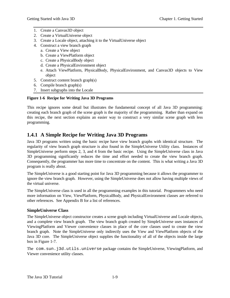- 1. Create a Canvas3D object
- 2. Create a VirtualUniverse object
- 3. Create a Locale object, attaching it to the VirtualUniverse object
- 4. Construct a view branch graph
	- a. Create a View object
	- b. Create a ViewPlatform object
	- c. Create a PhysicalBody object
	- d. Create a PhysicalEnvironment object
	- e. Attach ViewPlatform, PhysicalBody, PhysicalEnvironment, and Canvas3D objects to View object
- 5. Construct content branch graph(s)
- 6. Compile branch graph(s)
- 7. Insert subgraphs into the Locale

#### **Figure 1-6 Recipe for Writing Java 3D Programs**

<span id="page-14-0"></span>This recipe ignores some detail but illustrates the fundamental concept of all Java 3D programming: creating each branch graph of the scene graph is the majority of the programming. Rather than expand on this recipe, the next section explains an easier way to construct a very similar scene graph with less programming.

### **1.4.1 A Simple Recipe for Writing Java 3D Programs**

Java 3D programs written using the basic recipe have view branch graphs with identical structure. The regularity of view branch graph structure is also found in the SimpleUniverse Utility class. Instances of SimpleUniverse perform steps 2, 3, and 4 from the basic recipe. Using the SimpleUniverse class in Java 3D programming significantly reduces the time and effort needed to create the view branch graph. Consequently, the programmer has more time to concentrate on the content. This is what writing a Java 3D program is really about.

The SimpleUniverse is a good starting point for Java 3D programming because it allows the programmer to ignore the view branch graph. However, using the SimpleUniverse does not allow having multiple views of the virtual universe.

The SimpleUniverse class is used in all the programming examples in this tutorial. Programmers who need more information on View, ViewPlatform, PhysicalBody, and PhysicalEnvironment classes are referred to other references. See Appendix B for a list of references.

#### **SimpleUniverse Class**

The SimpleUniverse object constructor creates a scene graph including VirtualUniverse and Locale objects, and a complete view branch graph. The view branch graph created by SimpleUniverse uses instances of ViewingPlatform and Viewer convenience classes in place of the core classes used to create the view branch graph. Note the SimpleUniverse only indirectly uses the View and ViewPlatform objects of the Java 3D core. The SimpleUniverse object supplies the functionality of all of the objects inside the large box in Figure 1-7.

The com.sun.j3d.utils.universe package contains the SimpleUniverse, ViewingPlatform, and Viewer convenience utility classes.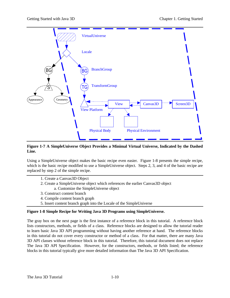

#### **Figure 1-7 A SimpleUniverse Object Provides a Minimal Virtual Universe, Indicated by the Dashed Line.**

Using a SimpleUniverse object makes the basic recipe even easier. Figure 1-8 presents the simple recipe, which is the basic recipe modified to use a SimpleUniverse object. Steps 2, 3, and 4 of the basic recipe are replaced by step 2 of the simple recipe.

- 1. Create a Canvas3D Object
- 2. Create a SimpleUniverse object which references the earlier Canvas3D object a. Customize the SimpleUniverse object
- 3. Construct content branch
- 4. Compile content branch graph
- 5. Insert content branch graph into the Locale of the SimpleUniverse

#### **Figure 1-8 Simple Recipe for Writing Java 3D Programs using SimpleUniverse.**

The gray box on the next page is the first instance of a reference block in this tutorial. A reference block lists constructors, methods, or fields of a class. Reference blocks are designed to allow the tutorial reader to learn basic Java 3D API programming without having another reference at hand. The reference blocks in this tutorial do not cover every constructor or method of a class. For that matter, there are many Java 3D API classes without reference block in this tutorial. Therefore, this tutorial document does not replace The Java 3D API Specification. However, for the constructors, methods, or fields listed; the reference blocks in this tutorial typically give more detailed information than The Java 3D API Specification.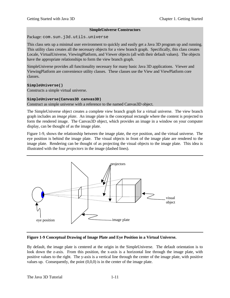#### **SimpleUniverse Constructors**

Package: com.sun.j3d.utils.universe

This class sets up a minimal user environment to quickly and easily get a Java 3D program up and running. This utility class creates all the necessary objects for a view branch graph. Specifically, this class creates Locale, VirtualUniverse, ViewingPlatform, and Viewer objects (all with their default values). The objects have the appropriate relationships to form the view branch graph.

SimpleUniverse provides all functionality necessary for many basic Java 3D applications. Viewer and ViewingPlatform are convenience utility classes. These classes use the View and ViewPlatform core classes.

#### **SimpleUniverse()**

Constructs a simple virtual universe.

#### **SimpleUniverse(Canvas3D canvas3D)**

Construct as simple universe with a reference to the named Canvas3D object.

The SimpleUniverse object creates a complete view branch graph for a virtual universe. The view branch graph includes an *image plate*. An image plate is the conceptual rectangle where the content is projected to form the rendered image. The Canvas3D object, which provides an image in a window on your computer display, can be thought of as the image plate.

Figure 1-9, shows the relationship between the image plate, the eye position, and the virtual universe. The eye position is behind the image plate. The visual objects in front of the image plate are rendered to the image plate. Rendering can be thought of as projecting the visual objects to the image plate. This idea is illustrated with the four *projectors* in the image (dashed lines).

![](_page_16_Figure_12.jpeg)

**Figure 1-9 Conceptual Drawing of Image Plate and Eye Position in a Virtual Universe.**

By default, the image plate is centered at the origin in the SimpleUniverse. The default orientation is to look down the z-axis. From this position, the x-axis is a horizontal line through the image plate, with positive values to the right. The y-axis is a vertical line through the center of the image plate, with positive values up. Consequently, the point  $(0,0,0)$  is in the center of the image plate.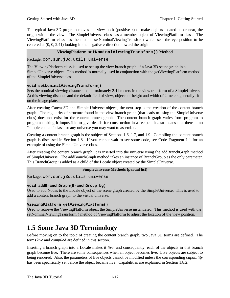The typical Java 3D program moves the view back (positive z) to make objects located at, or near, the origin within the view. The SimpleUniverse class has a member object of ViewingPlatform class. The ViewingPlatform class has the method setNominalViewingTransform which sets the eye position to be centered at (0, 0, 2.41) looking in the negative z direction toward the origin.

#### **ViewingPlatform setNominalViewingTransform() Method**

Package: com.sun.j3d.utils.universe

The ViewingPlatform class is used to set up the view branch graph of a Java 3D scene graph in a SimpleUniverse object. This method is normally used in conjunction with the getViewingPlatform method of the SimpleUniverse class.

#### **void setNominalViewingTransform()**

Sets the nominal viewing distance to approximately 2.41 meters in the view transform of a SimpleUniverse. At this viewing distance and the default field of view, objects of height and width of 2 meters generally fit on the image plate.

<span id="page-17-0"></span>After creating Canvas3D and Simple Universe objects, the next step is the creation of the content branch graph. The regularity of structure found in the view branch graph (that leads to using the SimpleUniverse class) does not exist for the content branch graph. The content branch graph varies from program to program making it impossible to give details for construction in a recipe. It also means that there is no "simple content" class for any universe you may want to assemble.

Creating a content branch graph is the subject of Sections 1.6, 1.7, and 1.9. Compiling the content branch graph is discussed in Section 1.8. If you cannot wait to see some code, see Code Fragment 1-1 for an example of using the SimpleUniverse class.

After creating the content branch graph, it is inserted into the universe using the addBranchGraph method of SimpleUniverse. The addBranchGraph method takes an instance of BranchGroup as the only parameter. This BranchGroup is added as a child of the Locale object created by the SimpleUniverse.

#### **SimpleUniverse Methods (partial list)**

Package: com.sun.j3d.utils.universe

#### **void addBranchGraph(BranchGroup bg)**

Used to add Nodes to the Locale object of the scene graph created by the SimpleUniverse. This is used to add a content branch graph to the virtual universe.

#### **ViewingPlatform getViewingPlatform()**

Used to retrieve the ViewingPlatform object the SimpleUniverse instantiated. This method is used with the setNominalViewingTransform() method of ViewingPlatform to adjust the location of the view position.

# **1.5 Some Java 3D Terminology**

Before moving on to the topic of creating the content branch graph, two Java 3D terms are defined. The terms *live* and *compiled* are defined in this section.

Inserting a branch graph into a Locale makes it *live*, and consequently, each of the objects in that branch graph become live. There are some consequences when an object becomes live. Live objects are subject to being rendered. Also, the parameters of live objects cannot be modified unless the corresponding *capability* has been specifically set before the object became live. Capabilities are explained in Section 1.8.2.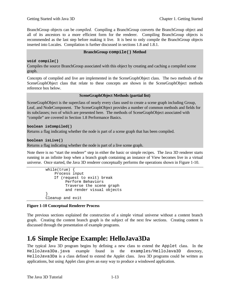BranchGroup objects can be *compiled*. Compiling a BranchGroup converts the BranchGroup object and all of its ancestors to a more efficient form for the renderer. Compiling BranchGroup objects is recommended as the last step before making it live. It is best to only compile the BranchGroup objects inserted into Locales. Compilation is further discussed in sections 1.8 and 1.8.1.

#### **BranchGroup compile() Method**

#### **void compile()**

Compiles the source BranchGroup associated with this object by creating and caching a compiled scene graph.

Concepts of compiled and live are implemented in the SceneGraphObject class. The two methods of the SceneGraphObject class that relate to these concepts are shown in the SceneGraphObject methods reference box below.

#### **SceneGraphObject Methods (partial list)**

SceneGraphObject is the superclass of nearly every class used to create a scene graph including Group, Leaf, and NodeComponent. The SceneGraphObject provides a number of common methods and fields for its subclasses; two of which are presented here. The methods of SceneGraphObject associated with "compile" are covered in Section 1.8 Performance Basics.

#### <span id="page-18-0"></span>**boolean isCompiled()**

Returns a flag indicating whether the node is part of a scene graph that has been compiled.

#### **boolean isLive()**

Returns a flag indicating whether the node is part of a live scene graph.

Note there is no "start the renderer" step in either the basic or simple recipes. The Java 3D renderer starts running in an infinite loop when a branch graph containing an instance of View becomes live in a virtual universe. Once started, the Java 3D renderer conceptually performs the operations shown in Figure 1-10.

```
 while(true) {
             Process input
             If (request to exit) break
                  Perform Behaviors
                  Traverse the scene graph
                  and render visual objects
 }
         Cleanup and exit
```
#### **Figure 1-10 Conceptual Renderer Process**

The previous sections explained the construction of a simple virtual universe without a content branch graph. Creating the content branch graph is the subject of the next few sections. Creating content is discussed through the presentation of example programs.

# **1.6 Simple Recipe Example: HelloJava3Da**

The typical Java 3D program begins by defining a new class to extend the Applet class. In the HelloJava3Da.java example found in the examples/HelloJava3D directory, HelloJava3Da is a class defined to extend the Applet class. Java 3D programs could be written as applications, but using Applet class gives an easy way to produce a windowed application.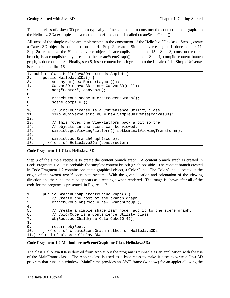The main class of a Java 3D program typically defines a method to construct the content branch graph. In the HelloJava3Da example such a method is defined and it is called createSceneGraph().

All steps of the simple recipe are implemented in the constructor of the HelloJava3Da class. Step 1, create a Canvas3D object, is completed on line 4. Step 2, create a SimpleUniverse object, is done on line 11. Step 2a, customize the SimpleUniverse object, is accomplished on line 15. Step 3, construct content branch, is accomplished by a call to the createSceneGraph() method. Step 4, compile content branch graph, is done on line 8. Finally, step 5, insert content branch graph into the Locale of the SimpleUniverse, is completed on line 16.

```
1. public class HelloJava3Da extends Applet {
2. public HelloJava3Da() {
3. setLayout(new BorderLayout());
4. Canvas3D canvas3D = new Canvas3D(null);
5. add("Center", canvas3D);
6.
7. BranchGroup scene = createSceneGraph();
8. scene.compile();
9.
10. // SimpleUniverse is a Convenience Utility class
11. SimpleUniverse simpleU = new SimpleUniverse(canvas3D);
12.13. // This moves the ViewPlatform back a bit so the
14. // objects in the scene can be viewed.
15. simpleU.getViewingPlatform().setNominalViewingTransform();
16.
17. simpleU.addBranchGraph(scene);
18. } // end of HelloJava3Da (constructor)
```
#### **Code Fragment 1-1 Class HelloJava3Da**

Step 3 of the simple recipe is to create the content branch graph. A content branch graph is created in Code Fragment 1-2. It is probably the simplest content branch graph possible. The content branch created in Code Fragment 1-2 contains one static graphical object, a ColorCube. The ColorCube is located at the origin of the *virtual world* coordinate system. With the given location and orientation of the viewing direction and the cube, the cube appears as a rectangle when rendered. The image is shown after all of the code for the program is presented, in Figure 1-12.

```
1. public BranchGroup createSceneGraph() {
2. // Create the root of the branch graph
3. BranchGroup objRoot = new BranchGroup();
4.
5. // Create a simple shape leaf node, add it to the scene graph.
6. // ColorCube is a Convenience Utility class
7. objRoot.addChild(new ColorCube(0.4));
8.
9. return objRoot;
10. } // end of createSceneGraph method of HelloJava3Da
11.} // end of class HelloJava3Da
```
#### **Code Fragment 1-2 Method createSceneGraph for Class HelloJava3Da**

The class HelloJava3Da is derived from Applet but the program is runnable as an application with the use of the MainFrame class. The Applet class is used as a base class to make it easy to write a Java 3D program that runs in a window. MainFrame provides an AWT frame (window) for an applet allowing the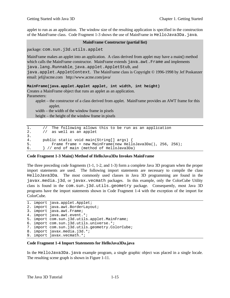applet to run as an application. The window size of the resulting application is specified in the construction of the MainFrame class. Code Fragment 1-3 shows the use of MainFrame in HelloJava3Da.java.

#### **MainFrame Constructor (partial list)**

package: com.sun.j3d.utils.applet

MainFrame makes an applet into an application. A class derived from applet may have a main() method which calls the MainFrame constructor. MainFrame extends java.awt.Frame and implements java.lang.Runnable, java.applet.AppletStub, and

java.applet.AppletContext. The MainFrame class is Copyright © 1996-1998 by Jef Poskanzer email: jef@acme.com http://www.acme.com/java/

#### **MainFrame(java.applet.Applet applet, int width, int height)**

Creates a MainFrame object that runs an applet as an application. Parameters:

applet – the constructor of a class derived from applet. MainFrame provides an AWT frame for this applet.

width – the width of the window frame in pixels height – the height of the window frame in pixels

```
1. // The following allows this to be run as an application
2. // as well as an applet
3.
4. public static void main(String[] args) {
5. Frame frame = new MainFrame(new HelloJava3Da(), 256, 256);
6. } // end of main (method of HelloJava3Da)
```
#### **Code Fragment 1-3 Main() Method of HelloJava3Da Invokes MainFrame**

The three preceding code fragments (1-1, 1-2, and 1-3) form a complete Java 3D program when the proper import statements are used. The following import statements are necessary to compile the class HelloJava3Da. The most commonly used classes in Java 3D programming are found in the javax.media.j3d, or javax.vecmath packages. In this example, only the ColorCube Utility class is found in the com.sun.j3d.utils.geometry package. Consequently, most Java 3D programs have the import statements shown in Code Fragment 1-4 with the exception of the import for ColorCube.

```
1. import java.applet.Applet;
2. import java.awt.BorderLayout;
3. import java.awt.Frame;
4. import java.awt.event.*;
5. import com.sun.j3d.utils.applet.MainFrame;
6. import com.sun.j3d.utils.universe.*;
7. import com.sun.j3d.utils.geometry.ColorCube;
8. import javax.media.j3d.*;
9. import javax.vecmath.*;
```
#### **Code Fragment 1-4 Import Statements for HelloJava3Da.java**

In the HelloJava3Da.java example program, a single graphic object was placed in a single locale. The resulting scene graph is shown in Figure 1-11.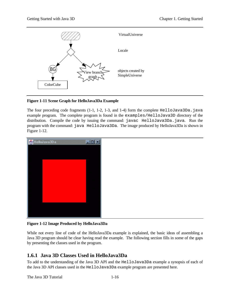![](_page_21_Figure_2.jpeg)

#### **Figure 1-11 Scene Graph for HelloJava3Da Example**

<span id="page-21-0"></span>The four preceding code fragments  $(1-1, 1-2, 1-3,$  and  $(1-4)$  form the complete HelloJava3Da.java example program. The complete program is found in the examples/HelloJava3D directory of the distribution. Compile the code by issuing the command: javac HelloJava3Da.java. Run the program with the command: java HelloJava3Da. The image produced by HelloJava3Da is shown in Figure 1-12.

![](_page_21_Picture_5.jpeg)

**Figure 1-12 Image Produced by HelloJava3Da**

While not every line of code of the HelloJava3Da example is explained, the basic ideas of assembling a Java 3D program should be clear having read the example. The following section fills in some of the gaps by presenting the classes used in the program.

# **1.6.1 Java 3D Classes Used in HelloJava3Da**

To add to the understanding of the Java 3D API and the HelloJava3Da example a synopsis of each of the Java 3D API classes used in the HelloJava3Da example program are presented here.

The Java 3D Tutorial 1-16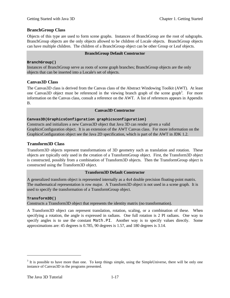### **BranchGroup Class**

Objects of this type are used to form scene graphs. Instances of BranchGroup are the root of subgraphs. BranchGroup objects are the only objects allowed to be children of Locale objects. BranchGroup objects can have multiple children. The children of a BranchGroup object can be other Group or Leaf objects.

#### **BranchGroup Default Constructor**

#### **BranchGroup()**

Instances of BranchGroup serve as roots of scene graph branches; BranchGroup objects are the only objects that can be inserted into a Locale's set of objects.

#### **Canvas3D Class**

The Canvas3D class is derived from the Canvas class of the Abstract Windowing Toolkit (AWT). At least one Canvas3D object must be referenced in the viewing branch graph of the scene graph<sup>3</sup>. For more information on the Canvas class, consult a reference on the AWT. A list of references appears in Appendix B.

#### **Canvas3D Constructor**

#### **Canvas3D(GraphicsConfiguration graphicsconfiguration)**

Constructs and initializes a new Canvas3D object that Java 3D can render given a valid GraphicsConfiguration object. It is an extension of the AWT Canvas class. For more information on the GraphicsConfiguration object see the Java 2D specification, which is part of the AWT in JDK 1.2.

#### **Transform3D Class**

Transform3D objects represent transformations of 3D geometry such as translation and rotation. These objects are typically only used in the creation of a TransformGroup object. First, the Transform3D object is constructed, possibly from a combination of Transform3D objects. Then the TransformGroup object is constructed using the Transform3D object.

#### **Transform3D Default Constructor**

A generalized transform object is represented internally as a 4x4 double precision floating-point matrix. The mathematical representation is row major. A Transform3D object is not used in a scene graph. It is used to specify the transformation of a TransformGroup object.

#### **Transform3D()**

Constructs a Transform3D object that represents the identity matrix (no transformation).

A Transform3D object can represent translation, rotation, scaling, or a combination of these. When specifying a rotation, the angle is expressed in radians. One full rotation is 2 PI radians. One way to specify angles is to use the constant Math.PI. Another way is to specify values directly. Some approximations are: 45 degrees is 0.785, 90 degrees is 1.57, and 180 degrees is 3.14.

 $\overline{a}$ 

 $3$  It is possible to have more than one. To keep things simple, using the SimpleUniverse, there will be only one instance of Canvas3D in the programs presented.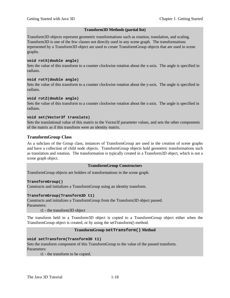#### **Transform3D Methods (partial list)**

Transform3D objects represent geometric transformations such as rotation, translation, and scaling. Transform3D is one of the few classes not directly used in any scene graph. The transformations represented by a Transform3D object are used to create TransformGroup objects that are used in scene graphs.

#### **void rotX(double angle)**

Sets the value of this transform to a counter clockwise rotation about the x-axis. The angle is specified in radians.

#### **void rotY(double angle)**

Sets the value of this transform to a counter clockwise rotation about the y-axis. The angle is specified in radians.

#### **void rotZ(double angle)**

Sets the value of this transform to a counter clockwise rotation about the z-axis. The angle is specified in radians.

#### **void set(Vector3f translate)**

Sets the translational value of this matrix to the Vector3f parameter values, and sets the other components of the matrix as if this transform were an identity matrix.

#### **TransformGroup Class**

As a subclass of the Group class, instances of TransformGroup are used in the creation of scene graphs and have a collection of child node objects. TransformGroup objects hold geometric transformations such as translation and rotation. The transformation is typically created in a Transform3D object, which is not a scene graph object.

#### **TransformGroup Constructors**

TransformGroup objects are holders of transformations in the scene graph.

#### **TransformGroup()**

Constructs and initializes a TransformGroup using an identity transform.

#### **TransformGroup(Transform3D t1)**

Constructs and initializes a TransformGroup from the Transform3D object passed. Parameters:

t1 - the transform3D object

The transform held in a Transform3D object is copied to a TransformGroup object either when the TransformGroup object is created, or by using the setTransform() method.

#### **TransformGroup setTransform() Method**

#### **void setTransform(Transform3D t1)**

Sets the transform component of this TransformGroup to the value of the passed transform. Parameters:

t1 - the transform to be copied.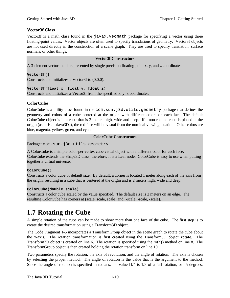#### **Vector3f Class**

Vector3f is a math class found in the javax.vecmath package for specifying a vector using three floating-point values. Vector objects are often used to specify translations of geometry. Vector3f objects are not used directly in the construction of a scene graph. They are used to specify translation, surface normals, or other things.

#### **Vector3f Constructors**

A 3-element vector that is represented by single precision floating point x, y, and z coordinates.

**Vector3f()**

Constructs and initializes a Vector3f to (0,0,0).

**Vector3f(float x, float y, float z)**

Constructs and initializes a Vector3f from the specified x, y, z coordinates.

#### **ColorCube**

<span id="page-24-0"></span>ColorCube is a utility class found in the com.sun.j3d.utils.geometry package that defines the geometry and colors of a cube centered at the origin with different colors on each face. The default ColorCube object is in a cube that is 2 meters high, wide and deep. If a non-rotated cube is placed at the origin (as in HelloJava3Da), the red face will be visual from the nominal viewing location. Other colors are blue, magenta, yellow, green, and cyan.

#### **ColorCube Constructors**

Package: com.sun.j3d.utils.geometry

A ColorCube is a simple color-per-vertex cube visual object with a different color for each face. ColorCube extends the Shape3D class; therefore, it is a Leaf node. ColorCube is easy to use when putting together a virtual universe.

#### **ColorCube()**

Constructs a color cube of default size. By default, a corner is located 1 meter along each of the axis from the origin, resulting in a cube that is centered at the origin and is 2 meters high, wide and deep.

#### **ColorCube(double scale)**

Constructs a color cube scaled by the value specified. The default size is 2 meters on an edge. The resulting ColorCube has corners at (scale, scale, scale) and (-scale, -scale, -scale).

# **1.7 Rotating the Cube**

A simple rotation of the cube can be made to show more than one face of the cube. The first step is to create the desired transformation using a Transform3D object.

The Code Fragment 1-5 incorporates a TransformGroup object in the scene graph to rotate the cube about the x-axis. The rotation transformation is first created using the Transform3D object **rotate**. The Transform3D object is created on line 6. The rotation is specified using the rotX() method on line 8. The TransformGroup object is then created holding the rotation transform on line 10.

Two parameters specify the rotation: the axis of revolution, and the angle of rotation. The axis is chosen by selecting the proper method. The angle of rotation is the value that is the argument to the method. Since the angle of rotation is specified in radians, the value  $\Pi/4$  is 1/8 of a full rotation, or 45 degrees.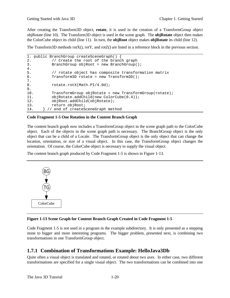After creating the Transform3D object, **rotate**, it is used in the creation of a TransformGroup object objRotate (line 10). The Transform3D object is used in the scene graph. The **objRotate** object then makes the ColorCube object its child (line 11). In turn, the **objRoot** object makes **objRotate** its child (line 12).

The Transform3D methods rotX(), rotY, and rotZ() are listed in a reference block in the previous section.

```
1. public BranchGroup createSceneGraph() {
2. // Create the root of the branch graph
3. BranchGroup objRoot = new BranchGroup();
\frac{4}{5}.
          // rotate object has composite transformation matrix
6. Transform3D rotate = new Transform3D();
7.
8. rotate.rotX(Math.PI/4.0d);
9.
10. TransformGroup objRotate = new TransformGroup(rotate);
11. objRotate.addChild(new ColorCube(0.4));
12. objRoot.addChild(objRotate);
13. return objRoot;
14. } // end of createSceneGraph method
```
#### <span id="page-25-0"></span>**Code Fragment 1-5 One Rotation in the Content Branch Graph**

The content branch graph now includes a TransformGroup object in the scene graph path to the ColorCube object. Each of the objects in the scene graph path is necessary. The BranchGroup object is the only object that can be a child of a Locale. The TransformGroup object is the only object that can change the location, orientation, or size of a visual object. In this case, the TransformGroup object changes the orientation. Of course, the ColorCube object is necessary to supply the visual object.

The content branch graph produced by Code Fragment 1-5 is shown in Figure 1-13.

![](_page_25_Figure_8.jpeg)

#### **Figure 1-13 Scene Graph for Content Branch Graph Created in Code Fragment 1-5**

Code Fragment 1-5 is not used in a program in the example subdirectory. It is only presented as a stepping stone to bigger and more interesting programs. The bigger problem, presented next, is combining two transformations in one TransformGroup object.

### **1.7.1 Combination of Transformations Example: HelloJava3Db**

Quite often a visual object is translated and rotated, or rotated about two axes. In either case, two different transformations are specified for a single visual object. The two transformations can be combined into one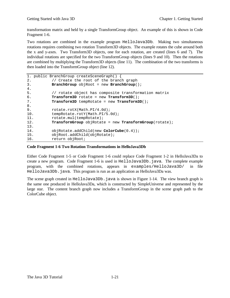transformation matrix and held by a single TransformGroup object. An example of this is shown in Code Fragment 1-6.

Two rotations are combined in the example program HelloJava3Db. Making two simultaneous rotations requires combining two rotation Transform3D objects. The example rotates the cube around both the x and y-axes. Two Transform3D objects, one for each rotation, are created (lines 6 and 7). The individual rotations are specified for the two TransformGroup objects (lines 9 and 10). Then the rotations are combined by multiplying the Transform3D objects (line 11). The combination of the two transforms is then loaded into the TransformGroup object (line 12).

```
1. public BranchGroup createSceneGraph() {
2. // Create the root of the branch graph
3. BranchGroup objRoot = new BranchGroup();
4.
5. // rotate object has composite transformation matrix
6. Transform3D rotate = new Transform3D();
7. Transform3D tempRotate = new Transform3D();
8.
9. rotate.rotX(Math.PI/4.0d);
10. tempRotate.rotY(Math.PI/5.0d);
11. rotate.mul(tempRotate);
12. TransformGroup objRotate = new TransformGroup(rotate);
13.
14. objRotate.addChild(new ColorCube(0.4));
15. objRoot.addChild(objRotate);
16. return objRoot;
```
#### **Code Fragment 1-6 Two Rotation Transformations in HelloJava3Db**

Either Code Fragment 1-5 or Code Fragment 1-6 could replace Code Fragment 1-2 in HelloJava3Da to create a new program. Code Fragment 1-6 is used in HelloJava3Db.java. The complete example program, with the combined rotations, appears in examples/HelloJava3D/ in file HelloJava3Db.java. This program is run as an application as HelloJava3Da was.

The scene graph created in HelloJava3Db. java is shown in Figure 1-14. The view branch graph is the same one produced in HelloJava3Da, which is constructed by SimpleUniverse and represented by the large star. The content branch graph now includes a TransformGroup in the scene graph path to the ColorCube object.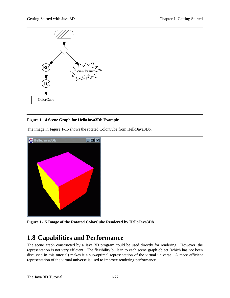![](_page_27_Figure_2.jpeg)

### <span id="page-27-0"></span>**Figure 1-14 Scene Graph for HelloJava3Db Example**

The image in Figure 1-15 shows the rotated ColorCube from HelloJava3Db.

![](_page_27_Picture_5.jpeg)

**Figure 1-15 Image of the Rotated ColorCube Rendered by HelloJava3Db**

# **1.8 Capabilities and Performance**

The scene graph constructed by a Java 3D program could be used directly for rendering. However, the representation is not very efficient. The flexibility built in to each scene graph object (which has not been discussed in this tutorial) makes it a sub-optimal representation of the virtual universe. A more efficient representation of the virtual universe is used to improve rendering performance.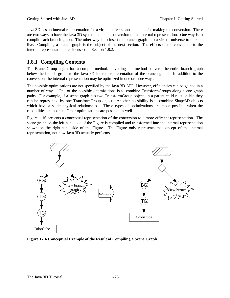<span id="page-28-0"></span>Java 3D has an internal representation for a virtual universe and methods for making the conversion. There are two ways to have the Java 3D system make the conversion to the internal representation. One way is to compile each branch graph. The other way is to insert the branch graph into a virtual universe to make it live. Compiling a branch graph is the subject of the next section. The effects of the conversion to the internal representation are discussed in Section 1.8.2.

# **1.8.1 Compiling Contents**

The BranchGroup object has a compile method. Invoking this method converts the entire branch graph below the branch group to the Java 3D internal representation of the branch graph. In addition to the conversion, the internal representation may be optimized in one or more ways.

The possible optimizations are not specified by the Java 3D API. However, efficiencies can be gained in a number of ways. One of the possible optimizations is to combine TransformGroups along scene graph paths. For example, if a scene graph has two TransformGroup objects in a parent-child relationship they can be represented by one TransformGroup object. Another possibility is to combine Shape3D objects which have a static physical relationship. These types of optimizations are made possible when the capabilities are not set. Other optimizations are possible as well.

Figure 1-16 presents a conceptual representation of the conversion to a more efficient representation. The scene graph on the left-hand side of the Figure is compiled and transformed into the internal representation shown on the right-hand side of the Figure. The Figure only represents the concept of the internal representation, not how Java 3D actually performs.

![](_page_28_Figure_7.jpeg)

**Figure 1-16 Conceptual Example of the Result of Compiling a Scene Graph**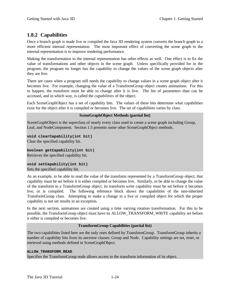# <span id="page-29-0"></span>**1.8.2 Capabilities**

Once a branch graph is made live or compiled the Java 3D rendering system converts the branch graph to a more efficient internal representation. The most important effect of converting the scene graph to the internal representation is to improve rendering performance.

Making the transformation to the internal representation has other effects as well. One effect is to fix the value of transformations and other objects in the scene graph. Unless specifically provided for in the program, the program no longer has the capability to change the values of the scene graph objects after they are live.

There are cases when a program still needs the capability to change values in a scene graph object after it becomes live. For example, changing the value of a TransformGroup object creates animations. For this to happen, the transform must be able to change after it is live. The list of parameters than can be accessed, and in which way, is called the *capabilities* of the object.

Each SceneGraphObject has a set of capability bits. The values of these bits determine what capabilities exist for the object after it is compiled or becomes live. The set of capabilities varies by class.

#### **SceneGraphObject Methods (partial list)**

SceneGraphObject is the superclass of nearly every class used to create a scene graph including Group, Leaf, and NodeComponent. Section 1.5 presents some other SceneGraphObject methods.

**void clearCapability(int bit)** Clear the specified capability bit.

**boolean getCapability(int bit)** Retrieves the specified capability bit.

**void setCapability(int bit)** Sets the specified capability bit.

As an example, to be able to read the value of the transform represented by a TransformGroup object, that capability must be set before it is either compiled or becomes live. Similarly, to be able to change the value of the transform in a TransformGroup object, its transform write capability must be set before it becomes live, or is compiled. The following reference block shows the capabilities of the non-inherited TransformGroup class. Attempting to make a change in a live or compiled object for which the proper capability is not set results in an exception.

In the next section, animations are created using a time varying rotation transformation. For this to be possible, the TransformGroup object must have its ALLOW\_TRANSFORM\_WRITE capability set before it either is compiled or becomes live.

#### **TransformGroup Capabilities (partial list)**

The two capabilities listed here are the only ones defined by TransformGroup. TransformGroup inherits a number of capability bits from its ancestor classes: Group and Node. Capability settings are set, reset, or retrieved using methods defined in SceneGraphObject.

#### **ALLOW\_TRANSFORM\_READ**

Specifies the TransformGroup node allows access to the transform information of its object.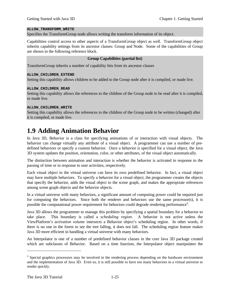#### **ALLOW\_TRANSFORM\_WRITE**

Specifies the TransformGroup node allows writing the transform information of its object.

Capabilities control access to other aspects of a TransformGroup object as well. TransformGroup object inherits capability settings from its ancestor classes: Group and Node. Some of the capabilities of Group are shown in the following reference block.

#### **Group Capabilities (partial list)**

TransformGroup inherits a number of capability bits from its ancestor classes

#### **ALLOW\_CHILDREN\_EXTEND**

Setting this capability allows children to be added to the Group node after it is compiled, or made live.

#### **ALLOW\_CHILDREN\_READ**

Setting this capability allows the references to the children of the Group node to be read after it is compiled, or made live.

#### **ALLOW\_CHILDREN\_WRITE**

<span id="page-30-0"></span>Setting this capability allows the references to the children of the Group node to be written (changed) after it is compiled, or made live.

# **1.9 Adding Animation Behavior**

In Java 3D, Behavior is a class for specifying animations of or interaction with visual objects. The behavior can change virtually any attribute of a visual object. A programmer can use a number of predefined behaviors or specify a custom behavior. Once a behavior is specified for a visual object, the Java 3D system updates the position, orientation, color, or other attributes, of the visual object automatically.

The distinction between animation and interaction is whether the behavior is activated in response to the passing of time or in response to user activities, respectively.

Each visual object in the virtual universe can have its own predefined behavior. In fact, a visual object may have multiple behaviors. To specify a behavior for a visual object, the programmer creates the objects that specify the behavior, adds the visual object to the scene graph, and makes the appropriate references among scene graph objects and the behavior objects.

In a virtual universe with many behaviors, a significant amount of computing power could be required just for computing the behaviors. Since both the renderer and behaviors use the same processor(s), it is possible the computational power requirement for behaviors could degrade rendering performance<sup>4</sup>.

Java 3D allows the programmer to manage this problem by specifying a spatial boundary for a behavior to take place. This boundary is called a *scheduling region*. A behavior is not active unless the ViewPlatform's *activation volume* intersects a Behavior object's scheduling region. In other words, if there is no one in the forest to see the tree falling, it does not fall. The scheduling region feature makes Java 3D more efficient in handling a virtual universe with many behaviors.

An Interpolator is one of a number of predefined behavior classes in the core Java 3D package created which are subclasses of Behavior. Based on a time function, the Interpolator object manipulates the

 $\overline{a}$ 

<sup>&</sup>lt;sup>4</sup> Special graphics processors may be involved in the rendering process depending on the hardware environment and the implementation of Java 3D. Even so, it is still possible to have too many behaviors in a virtual universe to render quickly.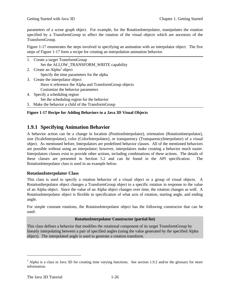parameters of a scene graph object. For example, for the RotationInterpolator, manipulates the rotation specified by a TransformGroup to affect the rotation of the visual objects which are ancestors of the TransformGroup.

Figure 1-17 enumerates the steps involved in specifying an animation with an interpolator object. The five steps of Figure 1-17 form a recipe for creating an interpolation animation behavior.

|    | 1. Create a target TransformGroup                      |
|----|--------------------------------------------------------|
|    | Set the ALLOW_TRANSFORM_WRITE capability               |
|    | 2. Create an Alpha <sup>5</sup> object                 |
|    | Specify the time parameters for the alpha              |
|    | 3. Create the interpolator object                      |
|    | Have it reference the Alpha and TransformGroup objects |
|    | Customize the behavior parameters                      |
| 4. | Specify a scheduling region                            |
|    | Set the scheduling region for the behavior             |

5. Make the behavior a child of the TransformGroup

#### <span id="page-31-0"></span>**Figure 1-17 Recipe for Adding Behaviors to a Java 3D Visual Objects**

### **1.9.1 Specifying Animation Behavior**

A behavior action can be a change in location (PositionInterpolator), orientation (RotationInterpolator), size (ScaleInterpolator), color (ColorInterpolator), or transparency (TransparencyInterpolator) of a visual object. As mentioned before, Interpolators are predefined behavior classes. All of the mentioned behaviors are possible without using an interpolator; however, interpolators make creating a behavior much easier. Interpolators classes exist to provide other actions, including combinations of these actions. The details of these classes are presented in Section 5.2 and can be found in the API specification. The RotationInterpolator class is used in an example below.

#### **RotationInterpolator Class**

This class is used to specify a rotation behavior of a visual object or a group of visual objects. A RotationIterpolator object changes a TransformGroup object to a specific rotation in response to the value of an Alpha object. Since the value of an Alpha object changes over time, the rotation changes as well. A RotationInterpolator object is flexible in specification of what axis of rotation, starting angle, and ending angle.

For simple constant rotations, the RotationInterpolator object has the following constructor that can be used:

#### **RotationInterpolator Constructor (partial list)**

This class defines a behavior that modifies the rotational component of its target TransformGroup by linearly interpolating between a pair of specified angles (using the value generated by the specified Alpha object). The interpolated angle is used to generate a rotation transform.

 $\overline{a}$ 

<sup>&</sup>lt;sup>5</sup> Alpha is a class in Java 3D for creating time varying functions. See section 1.9.2 and/or the glossary for more information.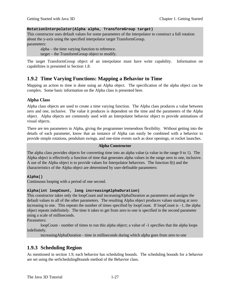#### **RotationInterpolator(Alpha alpha, TransformGroup target)**

This constructor uses default values for some parameters of the interpolator to construct a full rotation about the y-axis using the specified interpolator target TransformGroup. parameters:

alpha – the time varying function to reference. target – the TransformGroup object to modify.

<span id="page-32-0"></span>The target TransformGroup object of an interpolator must have write capability. Information on capabilities is presented in Section 1.8.

### **1.9.2 Time Varying Functions: Mapping a Behavior to Time**

Mapping an action to time is done using an Alpha object. The specification of the alpha object can be complex. Some basic information on the Alpha class is presented here.

#### **Alpha Class**

Alpha class objects are used to create a time varying function. The Alpha class produces a value between zero and one, inclusive. The value it produces is dependent on the time and the parameters of the Alpha object. Alpha objects are commonly used with an Interpolator behavior object to provide animations of visual objects.

<span id="page-32-1"></span>There are ten parameters to Alpha, giving the programmer tremendous flexibility. Without getting into the details of each parameter, know that an instance of Alpha can easily be combined with a behavior to provide simple rotations, pendulum swings, and one-time events such as door openings, or rocket launches.

#### **Alpha Constructor**

The alpha class provides objects for converting time into an alpha value (a value in the range 0 to 1). The Alpha object is effectively a function of time that generates alpha values in the range zero to one, inclusive. A use of the Alpha object is to provide values for Interpolator behaviors. The function f(t) and the characteristics of the Alpha object are determined by user-definable parameters:

#### **Alpha()**

Continuous looping with a period of one second.

#### **Alpha(int loopCount, long increasingAlphaDuration)**

This constructor takes only the loopCount and increasingAlphaDuration as parameters and assigns the default values to all of the other parameters. The resulting Alpha object produces values starting at zero increasing to one. This repeats the number of times specified by loopCount. If loopCount is –1, the alpha object repeats indefinitely. The time it takes to get from zero to one is specified in the second parameter using a scale of milliseconds.

Parameters:

loopCount - number of times to run this alpha object; a value of -1 specifies that the alpha loops indefinitely.

increasingAlphaDuration - time in milliseconds during which alpha goes from zero to one

### **1.9.3 Scheduling Region**

As mentioned in section 1.9, each behavior has scheduling bounds. The scheduling bounds for a behavior are set using the setSchedulingBounds method of the Behavior class.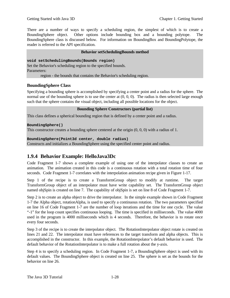There are a number of ways to specify a scheduling region, the simplest of which is to create a BoundingSphere object. Other options include bounding box and a bounding polytope. BoundingSphere class is discussed below. For information on BoundingBox and BoundingPolytope, the reader is referred to the API specification.

#### **Behavior setSchedulingBounds method**

#### **void setSchedulingBounds(Bounds region)**

Set the Behavior's scheduling region to the specified bounds. Parameters: region - the bounds that contains the Behavior's scheduling region.

#### **BoundingSphere Class**

Specifying a bounding sphere is accomplished by specifying a center point and a radius for the sphere. The normal use of the bounding sphere is to use the center at  $(0, 0, 0)$ . The radius is then selected large enough such that the sphere contains the visual object, including all possible locations for the object.

#### **Bounding Sphere Constructors (partial list)**

<span id="page-33-0"></span>This class defines a spherical bounding region that is defined by a center point and a radius.

#### **BoundingSphere()**

This constructor creates a bounding sphere centered at the origin (0, 0, 0) with a radius of 1.

#### **BoundingSphere(Point3d center, double radius)**

Constructs and initializes a BoundingSphere using the specified center point and radius.

### **1.9.4 Behavior Example: HelloJava3Dc**

Code Fragment 1-7 shows a complete example of using one of the interpolator classes to create an animation. The animation created in this code is a continuous rotation with a total rotation time of four seconds. Code Fragment 1-7 correlates with the interpolation animation recipe given in Figure 1-17.

Step 1 of the recipe is to create a TransformGroup object to modify at runtime. The target TransformGroup object of an interpolator must have write capability set. The TransformGroup object named objSpin is created on line 7. The capability of objSpin is set on line 8 of Code Fragment 1-7.

Step 2 is to create an alpha object to drive the interpolator. In the simple example shown in Code Fragment 1-7 the Alpha object, rotationAlpha, is used to specify a continuous rotation. The two parameters specified on line 16 of Code Fragment 1-7 are the number of loop iterations and the time for one cycle. The value "-1" for the loop count specifies continuous looping. The time is specified in milliseconds. The value 4000 used in the program is 4000 milliseconds which is 4 seconds. Therefore, the behavior is to rotate once every four seconds.

Step 3 of the recipe is to create the interpolator object. The RotationInterpolator object rotate is created on lines 21 and 22. The interpolator must have references to the target transform and alpha objects. This is accomplished in the constructor. In this example, the RotationInterpolator's default behavior is used. The default behavior of the RotationInterpolator is to make a full rotation about the y-axis.

Step 4 is to specify a scheduling region. In Code Fragment 1-7, a BoundingSphere object is used with its default values. The BoundingSphere object is created on line 25. The sphere is set as the bounds for the behavior on line 26.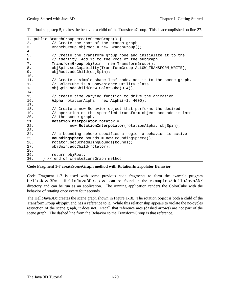The final step, step 5, makes the behavior a child of the TransformGroup. This is accomplished on line 27.

```
1. public BranchGroup createSceneGraph() {
2. // Create the root of the branch graph
3. BranchGroup objRoot = new BranchGroup();
4.
5. // Create the transform group node and initialize it to the
6. // identity. Add it to the root of the subgraph.
7. TransformGroup objSpin = new TransformGroup();
8. objSpin.setCapability(TransformGroup.ALLOW_TRANSFORM_WRITE);
9. objRoot.addChild(objSpin);
10.
11. // Create a simple shape leaf node, add it to the scene graph.
12. // ColorCube is a Convenience Utility class
13. objSpin.addChild(new ColorCube(0.4));
14.
15. // create time varying function to drive the animation
16. Alpha rotationAlpha = new Alpha(-1, 4000);
17.
18. // Create a new Behavior object that performs the desired
19. // operation on the specified transform object and add it into
20. // the scene graph.
21. RotationInterpolator rotator =
22. new RotationInterpolator(rotationAlpha, objSpin);
23.
24. // a bounding sphere specifies a region a behavior is active
25. BoundingSphere bounds = new BoundingSphere();
26. rotator.setSchedulingBounds(bounds);
27. objSpin.addChild(rotator);
28.
29. return objRoot;
30. } // end of createSceneGraph method
```
#### **Code Fragment 1-7 createSceneGraph method with RotationInterpolator Behavior**

Code Fragment 1-7 is used with some previous code fragments to form the example program HelloJava3Dc. HelloJava3Dc.java can be found in the examples/HelloJava3D/ directory and can be run as an application. The running application renders the ColorCube with the behavior of rotating once every four seconds.

The HelloJava3Dc creates the scene graph shown in Figure 1-18. The rotation object is both a child of the TransformGroup **objSpin** and has a reference to it. While this relationship appears to violate the no-cycles restriction of the scene graph, it does not. Recall that reference arcs (dashed arrows) are not part of the scene graph. The dashed line from the Behavior to the TransformGroup is that reference.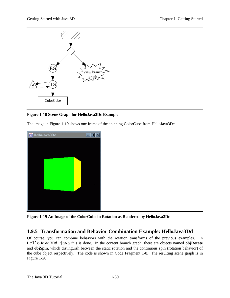![](_page_35_Figure_2.jpeg)

#### **Figure 1-18 Scene Graph for HelloJava3Dc Example**

The image in Figure 1-19 shows one frame of the spinning ColorCube from HelloJava3Dc.

<span id="page-35-0"></span>![](_page_35_Picture_5.jpeg)

**Figure 1-19 An Image of the ColorCube in Rotation as Rendered by HelloJava3Dc**

### **1.9.5 Transformation and Behavior Combination Example: HelloJava3Dd**

Of course, you can combine behaviors with the rotation transforms of the previous examples. In HelloJava3Dd.java this is done. In the content branch graph, there are objects named **objRotate** and **objSpin**, which distinguish between the static rotation and the continuous spin (rotation behavior) of the cube object respectively. The code is shown in Code Fragment 1-8. The resulting scene graph is in Figure 1-20.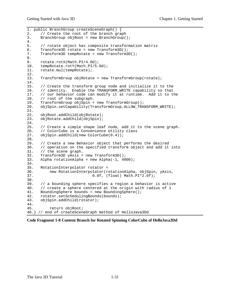1. public BranchGroup createSceneGraph() { 2. // Create the root of the branch graph 3. BranchGroup objRoot = new BranchGroup();  $\frac{4}{5}$ . // rotate object has composite transformation matrix 6. Transform3D rotate = new Transform3D(); 7. Transform3D tempRotate = new Transform3D(); 8.<br>9. 9. rotate.rotX(Math.PI/4.0d);<br>10. tempRotate.rotY(Math.PI/5. tempRotate.rotY(Math.PI/5.0d); 11. rotate.mul(tempRotate); 12. 13. TransformGroup objRotate = new TransformGroup(rotate);  $14.15.$ // Create the transform group node and initialize it to the 16. // identity. Enable the TRANSFORM WRITE capability so that 17. // our behavior code can modify it at runtime. Add it to the 18. // root of the subgraph. 19. TransformGroup objSpin = new TransformGroup(); 20. objSpin.setCapability(TransformGroup.ALLOW\_TRANSFORM\_WRITE); 21. 22. objRoot.addChild(objRotate); 23. objRotate.addChild(objSpin);  $\frac{24}{25}$ . // Create a simple shape leaf node, add it to the scene graph. 26. // ColorCube is a Convenience Utility class 27. objSpin.addChild(new ColorCube(0.4)); 28. 29. // Create a new Behavior object that performs the desired<br>30. // operation on the specified transform object and add it // operation on the specified transform object and add it into 31. // the scene graph. 32. Transform3D yAxis = new Transform3D(); 33. Alpha rotationAlpha = new Alpha(-1, 4000); 34. 35. RotationInterpolator rotator = 36. new RotationInterpolator(rotationAlpha, objSpin, yAxis, 37. 0.0f, (float) Math.PI\*2.0f); 38.<br>39. 39.  $\frac{1}{2}$  a bounding sphere specifies a region a behavior is active 40.  $\frac{1}{2}$  create a sphere centered at the origin with radius of 1  $1/$  create a sphere centered at the origin with radius of 1 41. BoundingSphere bounds = new BoundingSphere(); 42. rotator.setSchedulingBounds(bounds);<br>43. objSpin.addChild(rotator); objSpin.addChild(rotator);  $\frac{44}{45}$ . return objRoot; 46.} // end of createSceneGraph method of HelloJava3Dd

**Code Fragment 1-8 Content Branch for Rotated Spinning ColorCube of HelloJava3Dd**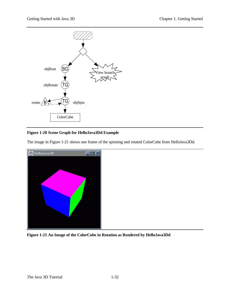![](_page_37_Figure_2.jpeg)

**Figure 1-20 Scene Graph for HelloJava3Dd Example**

The image in Figure 1-21 shows one frame of the spinning and rotated ColorCube from HelloJava3Dd.

![](_page_37_Picture_5.jpeg)

**Figure 1-21 An Image of the ColorCube in Rotation as Rendered by HelloJava3Dd**